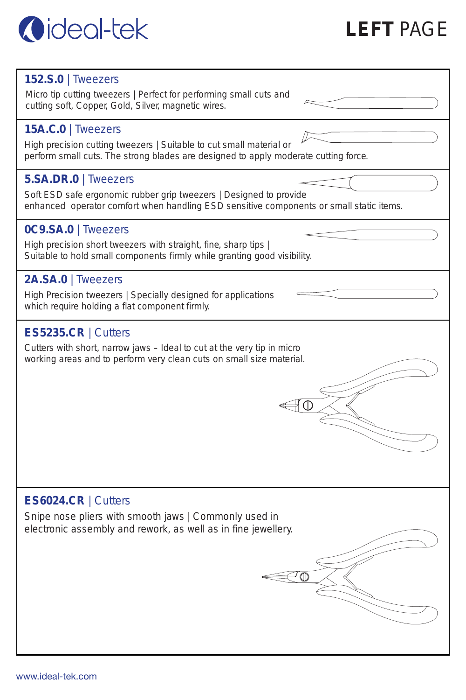

#### **152.S.0** | Tweezers

Micro tip cutting tweezers | Perfect for performing small cuts and cutting soft, Copper, Gold, Silver, magnetic wires.

## **15A.C.0** | Tweezers

High precision cutting tweezers | Suitable to cut small material or perform small cuts. The strong blades are designed to apply moderate cutting force.

### **5.SA.DR.0** | Tweezers

Soft ESD safe ergonomic rubber grip tweezers | Designed to provide enhanced operator comfort when handling ESD sensitive components or small static items.

 $\bigoplus$ 

₽∩

### **0C9.SA.0** | Tweezers

High precision short tweezers with straight, fine, sharp tips I Suitable to hold small components firmly while granting good visibility.

## **2A.SA.0** | Tweezers

High Precision tweezers | Specially designed for applications which require holding a flat component firmly.

### **ES5235.CR** | Cutters

Cutters with short, narrow jaws – Ideal to cut at the very tip in micro working areas and to perform very clean cuts on small size material.

### **ES6024.CR** | Cutters

Snipe nose pliers with smooth jaws | Commonly used in electronic assembly and rework, as well as in fine jewellery.